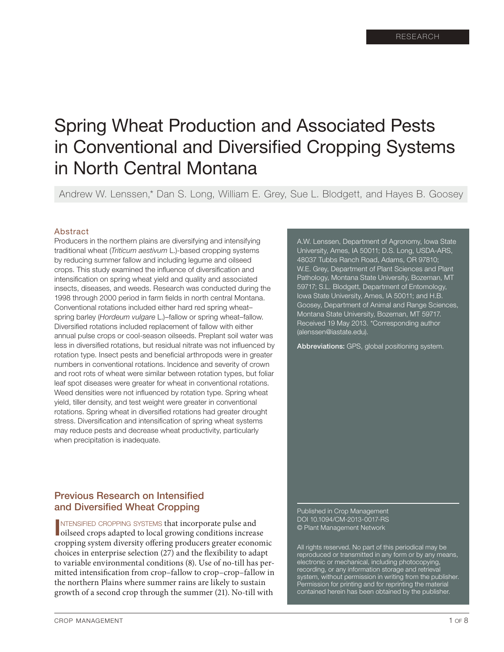# Spring Wheat Production and Associated Pests in Conventional and Diversified Cropping Systems in North Central Montana

Andrew W. Lenssen,\* Dan S. Long, William E. Grey, Sue L. Blodgett, and Hayes B. Goosey

#### Abstract

Producers in the northern plains are diversifying and intensifying traditional wheat (*Triticum aestivum* L.)-based cropping systems by reducing summer fallow and including legume and oilseed crops. This study examined the influence of diversification and intensification on spring wheat yield and quality and associated insects, diseases, and weeds. Research was conducted during the 1998 through 2000 period in farm fields in north central Montana. Conventional rotations included either hard red spring wheat– spring barley (*Hordeum vulgare* L.)–fallow or spring wheat–fallow. Diversified rotations included replacement of fallow with either annual pulse crops or cool-season oilseeds. Preplant soil water was less in diversified rotations, but residual nitrate was not influenced by rotation type. Insect pests and beneficial arthropods were in greater numbers in conventional rotations. Incidence and severity of crown and root rots of wheat were similar between rotation types, but foliar leaf spot diseases were greater for wheat in conventional rotations. Weed densities were not influenced by rotation type. Spring wheat yield, tiller density, and test weight were greater in conventional rotations. Spring wheat in diversified rotations had greater drought stress. Diversification and intensification of spring wheat systems may reduce pests and decrease wheat productivity, particularly when precipitation is inadequate.

Previous Research on Intensified and Diversified Wheat Cropping

**INTENSIFIED CROPPING SYSTEMS that incorporate pulse and oilseed crops adapted to local growing conditions increase** ntensified cropping systems that incorporate pulse and cropping system diversity offering producers greater economic choices in enterprise selection (27) and the flexibility to adapt to variable environmental conditions (8). Use of no-till has permitted intensification from crop–fallow to crop–crop–fallow in the northern Plains where summer rains are likely to sustain growth of a second crop through the summer (21). No-till with

A.W. Lenssen, Department of Agronomy, Iowa State University, Ames, IA 50011; D.S. Long, USDA-ARS, 48037 Tubbs Ranch Road, Adams, OR 97810; W.E. Grey, Department of Plant Sciences and Plant Pathology, Montana State University, Bozeman, MT 59717; S.L. Blodgett, Department of Entomology, Iowa State University, Ames, IA 50011; and H.B. Goosey, Department of Animal and Range Sciences, Montana State University, Bozeman, MT 59717. Received 19 May 2013. \*Corresponding author (alenssen@iastate.edu).

Abbreviations: GPS, global positioning system.

Published in Crop Management DOI 10.1094/CM-2013-0017-RS © Plant Management Network

All rights reserved. No part of this periodical may be reproduced or transmitted in any form or by any means, electronic or mechanical, including photocopying, recording, or any information storage and retrieval system, without permission in writing from the publisher. Permission for printing and for reprinting the material contained herein has been obtained by the publisher.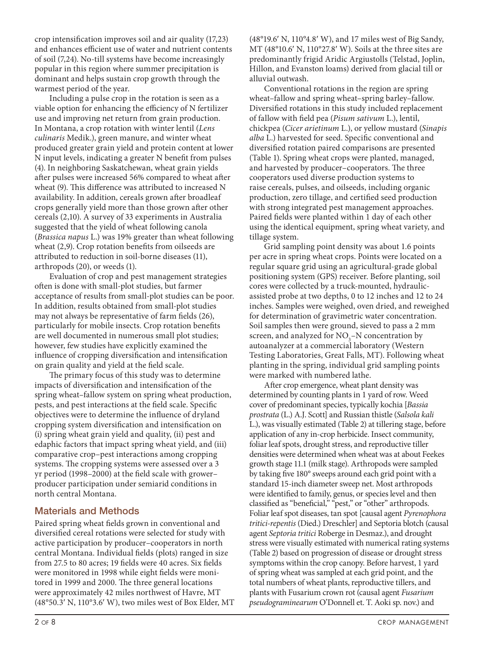crop intensification improves soil and air quality (17,23) and enhances efficient use of water and nutrient contents of soil (7,24). No-till systems have become increasingly popular in this region where summer precipitation is dominant and helps sustain crop growth through the warmest period of the year.

Including a pulse crop in the rotation is seen as a viable option for enhancing the efficiency of N fertilizer use and improving net return from grain production. In Montana, a crop rotation with winter lentil (*Lens culinaris* Medik.), green manure, and winter wheat produced greater grain yield and protein content at lower N input levels, indicating a greater N benefit from pulses (4). In neighboring Saskatchewan, wheat grain yields after pulses were increased 56% compared to wheat after wheat (9). This difference was attributed to increased N availability. In addition, cereals grown after broadleaf crops generally yield more than those grown after other cereals (2,10). A survey of 33 experiments in Australia suggested that the yield of wheat following canola (*Brassica napus* L.) was 19% greater than wheat following wheat (2,9). Crop rotation benefits from oilseeds are attributed to reduction in soil-borne diseases (11), arthropods (20), or weeds (1).

Evaluation of crop and pest management strategies often is done with small-plot studies, but farmer acceptance of results from small-plot studies can be poor. In addition, results obtained from small-plot studies may not always be representative of farm fields (26), particularly for mobile insects. Crop rotation benefits are well documented in numerous small plot studies; however, few studies have explicitly examined the influence of cropping diversification and intensification on grain quality and yield at the field scale.

The primary focus of this study was to determine impacts of diversification and intensification of the spring wheat–fallow system on spring wheat production, pests, and pest interactions at the field scale. Specific objectives were to determine the influence of dryland cropping system diversification and intensification on (i) spring wheat grain yield and quality, (ii) pest and edaphic factors that impact spring wheat yield, and (iii) comparative crop–pest interactions among cropping systems. The cropping systems were assessed over a 3 yr period (1998–2000) at the field scale with grower– producer participation under semiarid conditions in north central Montana.

# Materials and Methods

Paired spring wheat fields grown in conventional and diversified cereal rotations were selected for study with active participation by producer–cooperators in north central Montana. Individual fields (plots) ranged in size from 27.5 to 80 acres; 19 fields were 40 acres. Six fields were monitored in 1998 while eight fields were monitored in 1999 and 2000. The three general locations were approximately 42 miles northwest of Havre, MT (48°50.3′ N, 110°3.6′ W), two miles west of Box Elder, MT

(48°19.6′ N, 110°4.8′ W), and 17 miles west of Big Sandy, MT (48°10.6′ N, 110°27.8′ W). Soils at the three sites are predominantly frigid Aridic Argiustolls (Telstad, Joplin, Hillon, and Evanston loams) derived from glacial till or alluvial outwash.

Conventional rotations in the region are spring wheat–fallow and spring wheat–spring barley–fallow. Diversified rotations in this study included replacement of fallow with field pea (*Pisum sativum* L.), lentil, chickpea (*Cicer arietinum* L.), or yellow mustard (*Sinapis alba* L.) harvested for seed. Specific conventional and diversified rotation paired comparisons are presented (Table 1). Spring wheat crops were planted, managed, and harvested by producer–cooperators. The three cooperators used diverse production systems to raise cereals, pulses, and oilseeds, including organic production, zero tillage, and certified seed production with strong integrated pest management approaches. Paired fields were planted within 1 day of each other using the identical equipment, spring wheat variety, and tillage system.

Grid sampling point density was about 1.6 points per acre in spring wheat crops. Points were located on a regular square grid using an agricultural-grade global positioning system (GPS) receiver. Before planting, soil cores were collected by a truck-mounted, hydraulicassisted probe at two depths, 0 to 12 inches and 12 to 24 inches. Samples were weighed, oven dried, and reweighed for determination of gravimetric water concentration. Soil samples then were ground, sieved to pass a 2 mm screen, and analyzed for  $NO_3$ –N concentration by autoanalyzer at a commercial laboratory (Western Testing Laboratories, Great Falls, MT). Following wheat planting in the spring, individual grid sampling points were marked with numbered lathe.

After crop emergence, wheat plant density was determined by counting plants in 1 yard of row. Weed cover of predominant species, typically kochia [*Bassia prostrata* (L.) A.J. Scott] and Russian thistle (*Salsola kali* L.), was visually estimated (Table 2) at tillering stage, before application of any in-crop herbicide. Insect community, foliar leaf spots, drought stress, and reproductive tiller densities were determined when wheat was at about Feekes growth stage 11.1 (milk stage). Arthropods were sampled by taking five 180° sweeps around each grid point with a standard 15-inch diameter sweep net. Most arthropods were identified to family, genus, or species level and then classified as "beneficial," "pest," or "other" arthropods. Foliar leaf spot diseases, tan spot [causal agent *Pyrenophora tritici-repentis* (Died.) Dreschler] and Septoria blotch (causal agent *Septoria tritici* Roberge in Desmaz.), and drought stress were visually estimated with numerical rating systems (Table 2) based on progression of disease or drought stress symptoms within the crop canopy. Before harvest, 1 yard of spring wheat was sampled at each grid point, and the total numbers of wheat plants, reproductive tillers, and plants with Fusarium crown rot (causal agent *Fusarium pseudograminearum* O'Donnell et. T. Aoki sp. nov.) and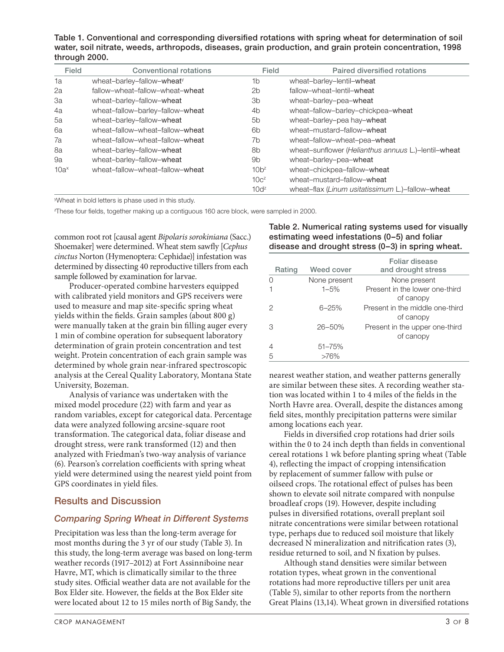Table 1. Conventional and corresponding diversified rotations with spring wheat for determination of soil water, soil nitrate, weeds, arthropods, diseases, grain production, and grain protein concentration, 1998 through 2000.

| Field   | <b>Conventional rotations</b>          | Field          | Paired diversified rotations                        |
|---------|----------------------------------------|----------------|-----------------------------------------------------|
| 1a      | wheat-barley-fallow-wheat <sup>y</sup> | 1b             | wheat-barley-lentil-wheat                           |
| 2a      | fallow-wheat-fallow-wheat-wheat        | 2b             | fallow-wheat-lentil-wheat                           |
| 3a      | wheat-barley-fallow-wheat              | 3 <sub>b</sub> | wheat-barley-pea-wheat                              |
| 4a      | wheat-fallow-barley-fallow-wheat       | 4b             | wheat-fallow-barley-chickpea-wheat                  |
| 5a      | wheat-barley-fallow-wheat              | 5 <sub>b</sub> | wheat-barley-pea hay-wheat                          |
| 6a      | wheat-fallow-wheat-fallow-wheat        | 6b             | wheat-mustard-fallow-wheat                          |
| 7a      | wheat-fallow-wheat-fallow-wheat        | 7b             | wheat-fallow-wheat-pea-wheat                        |
| 8a      | wheat-barley-fallow-wheat              | 8b             | wheat-sunflower (Helianthus annuus L.)-lentil-wheat |
| 9a      | wheat-barley-fallow-wheat              | 9b             | wheat-barley-pea-wheat                              |
| $10a^x$ | wheat-fallow-wheat-fallow-wheat        | $10b^z$        | wheat-chickpea-fallow-wheat                         |
|         |                                        | $10c^2$        | wheat-mustard-fallow-wheat                          |
|         |                                        | $10d^z$        | wheat-flax (Linum usitatissimum L.)-fallow-wheat    |

y Wheat in bold letters is phase used in this study.

z These four fields, together making up a contiguous 160 acre block, were sampled in 2000.

common root rot [causal agent *Bipolaris sorokiniana* (Sacc.) Shoemaker] were determined. Wheat stem sawfly [*Cephus cinctus* Norton (Hymenoptera: Cephidae)] infestation was determined by dissecting 40 reproductive tillers from each sample followed by examination for larvae.

Producer-operated combine harvesters equipped with calibrated yield monitors and GPS receivers were used to measure and map site-specific spring wheat yields within the fields. Grain samples (about 800 g) were manually taken at the grain bin filling auger every 1 min of combine operation for subsequent laboratory determination of grain protein concentration and test weight. Protein concentration of each grain sample was determined by whole grain near-infrared spectroscopic analysis at the Cereal Quality Laboratory, Montana State University, Bozeman.

Analysis of variance was undertaken with the mixed model procedure (22) with farm and year as random variables, except for categorical data. Percentage data were analyzed following arcsine-square root transformation. The categorical data, foliar disease and drought stress, were rank transformed (12) and then analyzed with Friedman's two-way analysis of variance (6). Pearson's correlation coefficients with spring wheat yield were determined using the nearest yield point from GPS coordinates in yield files.

# Results and Discussion

## *Comparing Spring Wheat in Different Systems*

Precipitation was less than the long-term average for most months during the 3 yr of our study (Table 3). In this study, the long-term average was based on long-term weather records (1917–2012) at Fort Assinniboine near Havre, MT, which is climatically similar to the three study sites. Official weather data are not available for the Box Elder site. However, the fields at the Box Elder site were located about 12 to 15 miles north of Big Sandy, the

## Table 2. Numerical rating systems used for visually estimating weed infestations (0–5) and foliar disease and drought stress (0–3) in spring wheat.

| Rating | Weed cover   | Foliar disease<br>and drought stress         |
|--------|--------------|----------------------------------------------|
|        | None present | None present                                 |
|        | $1 - 5%$     | Present in the lower one-third<br>of canopy  |
|        | $6 - 25%$    | Present in the middle one-third<br>of canopy |
| З      | $26 - 50%$   | Present in the upper one-third<br>of canopy  |
|        | $51 - 75%$   |                                              |
| 5      | $>76\%$      |                                              |

nearest weather station, and weather patterns generally are similar between these sites. A recording weather station was located within 1 to 4 miles of the fields in the North Havre area. Overall, despite the distances among field sites, monthly precipitation patterns were similar among locations each year.

Fields in diversified crop rotations had drier soils within the 0 to 24 inch depth than fields in conventional cereal rotations 1 wk before planting spring wheat (Table 4), reflecting the impact of cropping intensification by replacement of summer fallow with pulse or oilseed crops. The rotational effect of pulses has been shown to elevate soil nitrate compared with nonpulse broadleaf crops (19). However, despite including pulses in diversified rotations, overall preplant soil nitrate concentrations were similar between rotational type, perhaps due to reduced soil moisture that likely decreased N mineralization and nitrification rates (3), residue returned to soil, and N fixation by pulses.

Although stand densities were similar between rotation types, wheat grown in the conventional rotations had more reproductive tillers per unit area (Table 5), similar to other reports from the northern Great Plains (13,14). Wheat grown in diversified rotations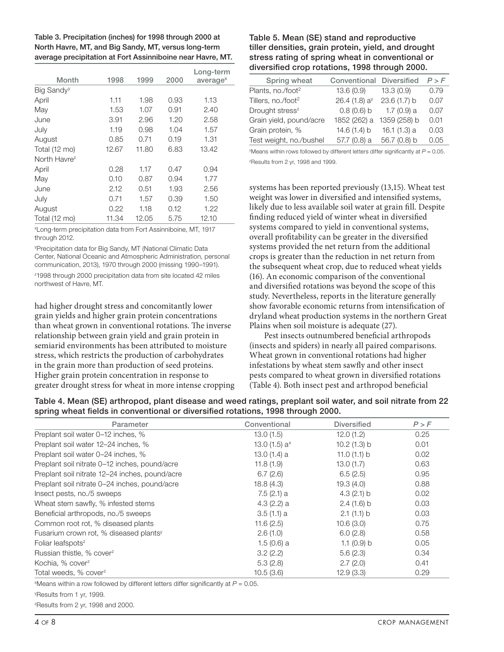| Table 3. Precipitation (inches) for 1998 through 2000 at   |
|------------------------------------------------------------|
| North Havre, MT, and Big Sandy, MT, versus long-term       |
| average precipitation at Fort Assinniboine near Havre, MT. |

| Month                    | 1998  | 1999  | 2000 | Long-term<br>average <sup>x</sup> |
|--------------------------|-------|-------|------|-----------------------------------|
| Big Sandy <sup>y</sup>   |       |       |      |                                   |
| April                    | 1.11  | 1.98  | 0.93 | 1.13                              |
| May                      | 1.53  | 1.07  | 0.91 | 2.40                              |
| June                     | 3.91  | 2.96  | 1.20 | 2.58                              |
| July                     | 1.19  | 0.98  | 1.04 | 1.57                              |
| August                   | 0.85  | 0.71  | 0.19 | 1.31                              |
| Total (12 mo)            | 12.67 | 11.80 | 6.83 | 13.42                             |
| North Havre <sup>z</sup> |       |       |      |                                   |
| April                    | 0.28  | 1.17  | 0.47 | 0.94                              |
| May                      | 0.10  | 0.87  | 0.94 | 1.77                              |
| June                     | 2.12  | 0.51  | 1.93 | 2.56                              |
| July                     | 0.71  | 1.57  | 0.39 | 1.50                              |
| August                   | 0.22  | 1.18  | 0.12 | 1.22                              |
| Total (12 mo)            | 11.34 | 12.05 | 5.75 | 12.10                             |

x Long-term precipitation data from Fort Assinniboine, MT, 1917 through 2012.

y Precipitation data for Big Sandy, MT (National Climatic Data Center, National Oceanic and Atmospheric Administration, personal communication, 2013), 1970 through 2000 (missing 1990–1991).

z 1998 through 2000 precipitation data from site located 42 miles northwest of Havre, MT.

had higher drought stress and concomitantly lower grain yields and higher grain protein concentrations than wheat grown in conventional rotations. The inverse relationship between grain yield and grain protein in semiarid environments has been attributed to moisture stress, which restricts the production of carbohydrates in the grain more than production of seed proteins. Higher grain protein concentration in response to greater drought stress for wheat in more intense cropping

### Table 5. Mean (SE) stand and reproductive tiller densities, grain protein, yield, and drought stress rating of spring wheat in conventional or diversified crop rotations, 1998 through 2000.

| Spring wheat                   | <b>Conventional Diversified</b> |              | P > F |
|--------------------------------|---------------------------------|--------------|-------|
| Plants, no./foot <sup>2</sup>  | 13.6(0.9)                       | 13.3(0.9)    | 0.79  |
| Tillers, no./foot <sup>2</sup> | 26.4 (1.8) $a^y$                | 23.6 (1.7) b | 0.07  |
| Drought stress <sup>z</sup>    | $0.8(0.6)$ b                    | $1.7(0.9)$ a | 0.07  |
| Grain yield, pound/acre        | 1852 (262) a                    | 1359 (258) b | 0.01  |
| Grain protein, %               | 14.6 (1.4) b                    | 16.1(1.3) a  | 0.03  |
| Test weight, no./bushel        | 57.7 (0.8) a                    | 56.7 (0.8) b | 0.05  |

y Means within rows followed by different letters differ significantly at *P* = 0.05. z Results from 2 yr, 1998 and 1999.

systems has been reported previously (13,15). Wheat test weight was lower in diversified and intensified systems, likely due to less available soil water at grain fill. Despite finding reduced yield of winter wheat in diversified systems compared to yield in conventional systems, overall profitability can be greater in the diversified systems provided the net return from the additional crops is greater than the reduction in net return from the subsequent wheat crop, due to reduced wheat yields (16). An economic comparison of the conventional and diversified rotations was beyond the scope of this study. Nevertheless, reports in the literature generally show favorable economic returns from intensification of dryland wheat production systems in the northern Great Plains when soil moisture is adequate (27).

Pest insects outnumbered beneficial arthropods (insects and spiders) in nearly all paired comparisons. Wheat grown in conventional rotations had higher infestations by wheat stem sawfly and other insect pests compared to wheat grown in diversified rotations (Table 4). Both insect pest and arthropod beneficial

| Table 4. Mean (SE) arthropod, plant disease and weed ratings, preplant soil water, and soil nitrate from 22 |  |  |  |
|-------------------------------------------------------------------------------------------------------------|--|--|--|
| spring wheat fields in conventional or diversified rotations, 1998 through 2000.                            |  |  |  |

| Parameter                                          | Conventional                | <b>Diversified</b> | P > F |
|----------------------------------------------------|-----------------------------|--------------------|-------|
| Preplant soil water 0-12 inches, %                 | 13.0(1.5)                   | 12.0(1.2)          | 0.25  |
| Preplant soil water 12–24 inches, %                | 13.0 $(1.5)$ a <sup>x</sup> | 10.2(1.3) b        | 0.01  |
| Preplant soil water 0-24 inches, %                 | 13.0 $(1.4)$ a              | 11.0 $(1.1)$ b     | 0.02  |
| Preplant soil nitrate 0-12 inches, pound/acre      | 11.8(1.9)                   | 13.0(1.7)          | 0.63  |
| Preplant soil nitrate 12-24 inches, pound/acre     | 6.7(2.6)                    | 6.5(2.5)           | 0.95  |
| Preplant soil nitrate 0-24 inches, pound/acre      | 18.8(4.3)                   | 19.3(4.0)          | 0.88  |
| Insect pests, no./5 sweeps                         | $7.5(2.1)$ a                | 4.3 $(2.1)$ b      | 0.02  |
| Wheat stem sawfly, % infested stems                | $4.3(2.2)$ a                | $2.4(1.6)$ b       | 0.03  |
| Beneficial arthropods, no./5 sweeps                | 3.5(1.1) a                  | 2.1(1.1) b         | 0.03  |
| Common root rot, % diseased plants                 | 11.6(2.5)                   | 10.6(3.0)          | 0.75  |
| Fusarium crown rot, % diseased plants <sup>y</sup> | 2.6(1.0)                    | 6.0(2.8)           | 0.58  |
| Foliar leafspots <sup>z</sup>                      | $1.5(0.6)$ a                | 1.1 $(0.9)$ b      | 0.05  |
| Russian thistle, % cover <sup>z</sup>              | 3.2(2.2)                    | 5.6(2.3)           | 0.34  |
| Kochia, % cover <sup>z</sup>                       | 5.3(2.8)                    | 2.7(2.0)           | 0.41  |
| Total weeds, % cover <sup>z</sup>                  | 10.5(3.6)                   | 12.9(3.3)          | 0.29  |

 $x^*$ Means within a row followed by different letters differ significantly at  $P = 0.05$ .

y Results from 1 yr, 1999.

z Results from 2 yr, 1998 and 2000.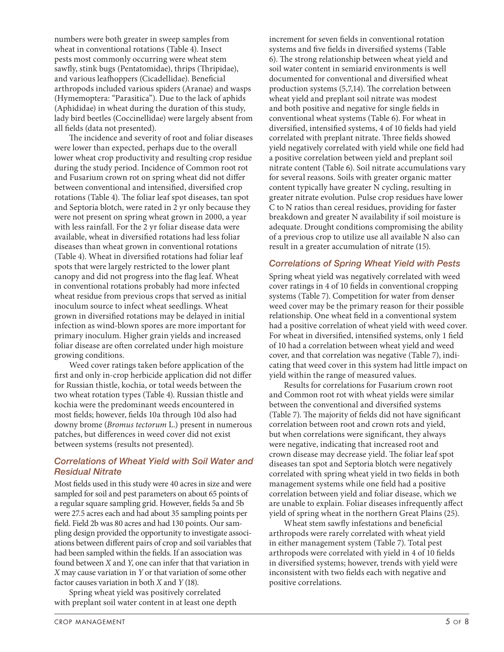numbers were both greater in sweep samples from wheat in conventional rotations (Table 4). Insect pests most commonly occurring were wheat stem sawfly, stink bugs (Pentatomidae), thrips (Thripidae), and various leafhoppers (Cicadellidae). Beneficial arthropods included various spiders (Aranae) and wasps (Hymemoptera: "Parasitica"). Due to the lack of aphids (Aphididae) in wheat during the duration of this study, lady bird beetles (Coccinellidae) were largely absent from all fields (data not presented).

The incidence and severity of root and foliar diseases were lower than expected, perhaps due to the overall lower wheat crop productivity and resulting crop residue during the study period. Incidence of Common root rot and Fusarium crown rot on spring wheat did not differ between conventional and intensified, diversified crop rotations (Table 4). The foliar leaf spot diseases, tan spot and Septoria blotch, were rated in 2 yr only because they were not present on spring wheat grown in 2000, a year with less rainfall. For the 2 yr foliar disease data were available, wheat in diversified rotations had less foliar diseases than wheat grown in conventional rotations (Table 4). Wheat in diversified rotations had foliar leaf spots that were largely restricted to the lower plant canopy and did not progress into the flag leaf. Wheat in conventional rotations probably had more infected wheat residue from previous crops that served as initial inoculum source to infect wheat seedlings. Wheat grown in diversified rotations may be delayed in initial infection as wind-blown spores are more important for primary inoculum. Higher grain yields and increased foliar disease are often correlated under high moisture growing conditions.

Weed cover ratings taken before application of the first and only in-crop herbicide application did not differ for Russian thistle, kochia, or total weeds between the two wheat rotation types (Table 4). Russian thistle and kochia were the predominant weeds encountered in most fields; however, fields 10a through 10d also had downy brome (*Bromus tectorum* L.) present in numerous patches, but differences in weed cover did not exist between systems (results not presented).

## *Correlations of Wheat Yield with Soil Water and Residual Nitrate*

Most fields used in this study were 40 acres in size and were sampled for soil and pest parameters on about 65 points of a regular square sampling grid. However, fields 5a and 5b were 27.5 acres each and had about 35 sampling points per field. Field 2b was 80 acres and had 130 points. Our sampling design provided the opportunity to investigate associations between different pairs of crop and soil variables that had been sampled within the fields. If an association was found between *X* and *Y*, one can infer that that variation in *X* may cause variation in *Y* or that variation of some other factor causes variation in both *X* and *Y* (18).

Spring wheat yield was positively correlated with preplant soil water content in at least one depth increment for seven fields in conventional rotation systems and five fields in diversified systems (Table 6). The strong relationship between wheat yield and soil water content in semiarid environments is well documented for conventional and diversified wheat production systems (5,7,14). The correlation between wheat yield and preplant soil nitrate was modest and both positive and negative for single fields in conventional wheat systems (Table 6). For wheat in diversified, intensified systems, 4 of 10 fields had yield correlated with preplant nitrate. Three fields showed yield negatively correlated with yield while one field had a positive correlation between yield and preplant soil nitrate content (Table 6). Soil nitrate accumulations vary for several reasons. Soils with greater organic matter content typically have greater N cycling, resulting in greater nitrate evolution. Pulse crop residues have lower C to N ratios than cereal residues, providing for faster breakdown and greater N availability if soil moisture is adequate. Drought conditions compromising the ability of a previous crop to utilize use all available N also can result in a greater accumulation of nitrate (15).

## *Correlations of Spring Wheat Yield with Pests*

Spring wheat yield was negatively correlated with weed cover ratings in 4 of 10 fields in conventional cropping systems (Table 7). Competition for water from denser weed cover may be the primary reason for their possible relationship. One wheat field in a conventional system had a positive correlation of wheat yield with weed cover. For wheat in diversified, intensified systems, only 1 field of 10 had a correlation between wheat yield and weed cover, and that correlation was negative (Table 7), indicating that weed cover in this system had little impact on yield within the range of measured values.

Results for correlations for Fusarium crown root and Common root rot with wheat yields were similar between the conventional and diversified systems (Table 7). The majority of fields did not have significant correlation between root and crown rots and yield, but when correlations were significant, they always were negative, indicating that increased root and crown disease may decrease yield. The foliar leaf spot diseases tan spot and Septoria blotch were negatively correlated with spring wheat yield in two fields in both management systems while one field had a positive correlation between yield and foliar disease, which we are unable to explain. Foliar diseases infrequently affect yield of spring wheat in the northern Great Plains (25).

Wheat stem sawfly infestations and beneficial arthropods were rarely correlated with wheat yield in either management system (Table 7). Total pest arthropods were correlated with yield in 4 of 10 fields in diversified systems; however, trends with yield were inconsistent with two fields each with negative and positive correlations.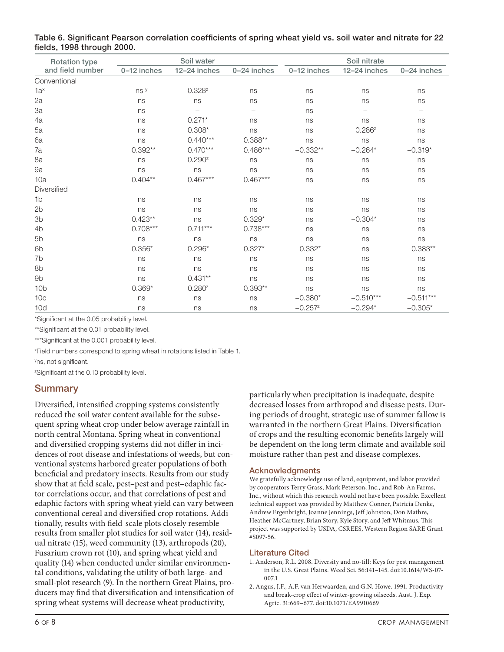| <b>Rotation type</b> |             | Soil water         |                          | Soil nitrate |              |                   |  |
|----------------------|-------------|--------------------|--------------------------|--------------|--------------|-------------------|--|
| and field number     | 0-12 inches | 12-24 inches       | 0-24 inches              | 0-12 inches  | 12-24 inches | 0-24 inches       |  |
| Conventional         |             |                    |                          |              |              |                   |  |
| $1a^x$               | ns y        | $0.328^{z}$        | ns                       | ns           | ns           | ns                |  |
| 2a                   | ns          | ns                 | ns                       | ns           | ns           | ns                |  |
| 3a                   | ns          |                    | $\overline{\phantom{0}}$ | ns           |              | $\qquad \qquad -$ |  |
| 4a                   | ns          | $0.271*$           | ns                       | ns           | ns           | ns                |  |
| 5a                   | ns          | $0.308*$           | ns                       | ns           | $0.286^{z}$  | ns                |  |
| 6a                   | ns          | $0.440***$         | $0.388**$                | ns           | ns           | ns                |  |
| 7a                   | $0.392**$   | $0.470***$         | $0.486***$               | $-0.332**$   | $-0.264*$    | $-0.319*$         |  |
| 8a                   | ns          | 0.290 <sup>z</sup> | ns                       | ns           | ns           | ns                |  |
| 9a                   | ns          | ns                 | ns                       | ns           | ns           | ns                |  |
| 10a                  | $0.404**$   | $0.467***$         | $0.467***$               | ns           | ns           | ns                |  |
| Diversified          |             |                    |                          |              |              |                   |  |
| 1 <sub>b</sub>       | ns          | ns                 | ns                       | ns           | ns           | ns                |  |
| 2 <sub>b</sub>       | ns          | ns                 | ns                       | ns           | ns           | ns                |  |
| 3b                   | $0.423**$   | ns                 | $0.329*$                 | ns           | $-0.304*$    | ns                |  |
| 4b                   | $0.708***$  | $0.711***$         | $0.738***$               | ns           | ns           | ns                |  |
| 5b                   | ns          | ns                 | ns                       | ns           | ns           | ns                |  |
| 6b                   | $0.356*$    | $0.296*$           | $0.327*$                 | $0.332*$     | ns           | $0.383**$         |  |
| 7b                   | ns          | ns                 | ns                       | ns           | ns           | ns                |  |
| 8b                   | ns          | ns                 | ns                       | ns           | ns           | ns                |  |
| 9b                   | ns          | $0.431**$          | ns                       | ns           | ns           | ns                |  |
| 10 <sub>b</sub>      | $0.369*$    | 0.280 <sup>z</sup> | $0.393**$                | ns           | ns           | ns                |  |
| 10 <sub>c</sub>      | ns          | ns                 | ns                       | $-0.380*$    | $-0.510***$  | $-0.511***$       |  |
| 10d                  | ns          | ns                 | ns                       | $-0.257z$    | $-0.294*$    | $-0.305*$         |  |

Table 6. Significant Pearson correlation coefficients of spring wheat yield vs. soil water and nitrate for 22 fields, 1998 through 2000.

\*Significant at the 0.05 probability level.

\*\*Significant at the 0.01 probability level.

\*\*\*Significant at the 0.001 probability level.

x Field numbers correspond to spring wheat in rotations listed in Table 1.

<sup>y</sup>ns, not significant.

z Significant at the 0.10 probability level.

# Summary

Diversified, intensified cropping systems consistently reduced the soil water content available for the subsequent spring wheat crop under below average rainfall in north central Montana. Spring wheat in conventional and diversified cropping systems did not differ in incidences of root disease and infestations of weeds, but conventional systems harbored greater populations of both beneficial and predatory insects. Results from our study show that at field scale, pest–pest and pest–edaphic factor correlations occur, and that correlations of pest and edaphic factors with spring wheat yield can vary between conventional cereal and diversified crop rotations. Additionally, results with field-scale plots closely resemble results from smaller plot studies for soil water (14), residual nitrate (15), weed community (13), arthropods (20), Fusarium crown rot (10), and spring wheat yield and quality (14) when conducted under similar environmental conditions, validating the utility of both large- and small-plot research (9). In the northern Great Plains, producers may find that diversification and intensification of spring wheat systems will decrease wheat productivity,

particularly when precipitation is inadequate, despite decreased losses from arthropod and disease pests. During periods of drought, strategic use of summer fallow is warranted in the northern Great Plains. Diversification of crops and the resulting economic benefits largely will be dependent on the long term climate and available soil moisture rather than pest and disease complexes.

#### Acknowledgments

We gratefully acknowledge use of land, equipment, and labor provided by cooperators Terry Grass, Mark Peterson, Inc., and Rob-An Farms, Inc., without which this research would not have been possible. Excellent technical support was provided by Matthew Conner, Patricia Denke, Andrew Ergenbright, Joanne Jennings, Jeff Johnston, Don Mathre, Heather McCartney, Brian Story, Kyle Story, and Jeff Whitmus. This project was supported by USDA, CSREES, Western Region SARE Grant #S097-56.

#### Literature Cited

- 1. Anderson, R.L. 2008. Diversity and no-till: Keys for pest management in the U.S. Great Plains. Weed Sci. 56:141–145. doi:10.1614/WS-07- 007.1
- 2. Angus, J.F., A.F. van Herwaarden, and G.N. Howe. 1991. Productivity and break-crop effect of winter-growing oilseeds. Aust. J. Exp. Agric. 31:669–677. doi:10.1071/EA9910669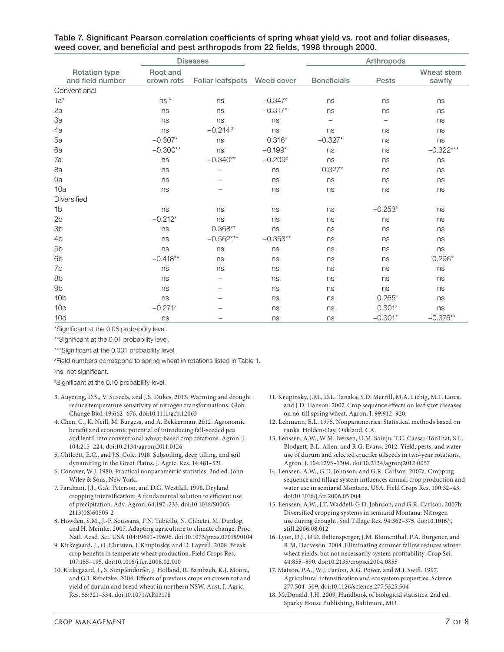|                                          |                        | <b>Diseases</b>  |              |                    | Arthropods               |                      |
|------------------------------------------|------------------------|------------------|--------------|--------------------|--------------------------|----------------------|
| <b>Rotation type</b><br>and field number | Root and<br>crown rots | Foliar leafspots | Weed cover   | <b>Beneficials</b> | <b>Pests</b>             | Wheat stem<br>sawfly |
| Conventional                             |                        |                  |              |                    |                          |                      |
| $1a^x$                                   | ns y                   | ns               | $-0.347z$    | ns                 | ns                       | ns                   |
| 2a                                       | ns                     | ns               | $-0.317*$    | ns                 | ns                       | ns                   |
| 3a                                       | ns                     | ns               | ns           | $\qquad \qquad -$  | $\overline{\phantom{m}}$ | ns                   |
| 4a                                       | ns                     | $-0.244z$        | ns           | ns                 | ns                       | ns                   |
| 5a                                       | $-0.307*$              | ns               | $0.316*$     | $-0.327*$          | ns                       | ns                   |
| 6a                                       | $-0.300**$             | ns               | $-0.199*$    | ns                 | ns                       | $-0.322***$          |
| 7a                                       | ns                     | $-0.340**$       | $-0.209^{z}$ | ns                 | ns                       | ns                   |
| 8a                                       | ns                     |                  | ns           | $0.327*$           | ns                       | ns                   |
| 9a                                       | ns                     |                  | ns           | ns                 | ns                       | ns                   |
| 10a                                      | ns                     |                  | ns           | ns                 | ns                       | ns                   |
| Diversified                              |                        |                  |              |                    |                          |                      |
| 1 <sub>b</sub>                           | ns                     | ns               | ns           | ns                 | $-0.253^{z}$             | ns                   |
| 2b                                       | $-0.212*$              | ns               | ns           | ns                 | ns                       | ns                   |
| 3b                                       | ns                     | $0.368**$        | ns           | ns                 | ns                       | ns                   |
| 4 <sub>b</sub>                           | ns                     | $-0.562***$      | $-0.353**$   | ns                 | ns                       | ns                   |
| 5b                                       | ns                     | ns               | ns           | ns                 | ns                       | ns                   |
| 6 <sub>b</sub>                           | $-0.418**$             | ns               | ns           | ns                 | ns                       | $0.296*$             |
| 7b                                       | ns                     | ns               | ns           | ns                 | ns                       | ns                   |
| 8b                                       | ns                     |                  | ns           | ns                 | ns                       | ns                   |
| 9 <sub>b</sub>                           | ns                     |                  | ns           | ns                 | ns                       | ns                   |
| 10 <sub>b</sub>                          | ns                     |                  | ns           | ns                 | $0.265^{z}$              | ns                   |
| 10 <sub>c</sub>                          | $-0.271^{z}$           |                  | ns           | ns                 | $0.301^{z}$              | ns                   |
| 10d                                      | ns                     |                  | ns           | ns                 | $-0.301*$                | $-0.376**$           |

Table 7. Significant Pearson correlation coefficients of spring wheat yield vs. root and foliar diseases, weed cover, and beneficial and pest arthropods from 22 fields, 1998 through 2000.

\*Significant at the 0.05 probability level.

\*\*Significant at the 0.01 probability level.

\*\*\*Significant at the 0.001 probability level.

x Field numbers correspond to spring wheat in rotations listed in Table 1.

<sup>y</sup>ns, not significant.

z Significant at the 0.10 probability level.

- 3. Auyeung, D.S., V. Suseela, and J.S. Dukes. 2013. Warming and drought reduce temperature sensitivity of nitrogen transformations. Glob. Change Biol. 19:662–676. doi:10.1111/gcb.12063
- 4. Chen, C., K. Neill, M. Burgess, and A. Bekkerman. 2012. Agronomic benefit and economic potential of introducing fall-seeded pea and lentil into conventional wheat-based crop rotations. Agron. J. 104:215–224. doi:10.2134/agronj2011.0126
- 5. Chilcott, E.C., and J.S. Cole. 1918. Subsoiling, deep tilling, and soil dynamiting in the Great Plains. J. Agric. Res. 14:481–521.
- 6. Conover, W.J. 1980. Practical nonparametric statistics. 2nd ed. John Wiley & Sons, New York.
- 7. Farahani, J.J., G.A. Peterson, and D.G. Westfall. 1998. Dryland cropping intensification: A fundamental solution to efficient use of precipitation. Adv. Agron. 64:197–233. doi:10.1016/S0065- 2113(08)60505-2
- 8. Howden, S.M., J.-F. Soussana, F.N. Tubiello, N. Chhetri, M. Dunlop, and H. Meinke. 2007. Adapting agriculture to climate change. Proc. Natl. Acad. Sci. USA 104:19691–19696. doi:10.1073/pnas.0701890104
- 9. Kirkegaard, J., O. Christen, J. Krupinsky, and D. Layzell. 2008. Break crop benefits in temperate wheat production. Field Crops Res. 107:185–195. doi:10.1016/j.fcr.2008.02.010
- 10. Kirkegaard, J., S. Simpfendorfer, J. Holland, R. Bambach, K.J. Moore, and G.J. Rebetzke. 2004. Effects of previous crops on crown rot and yield of durum and bread wheat in northern NSW. Aust. J. Agric. Res. 55:321–334. doi:10.1071/AR03178
- 11. Krupinsky, J.M., D.L. Tanaka, S.D. Merrill, M.A. Liebig, M.T. Lares, and J.D. Hanson. 2007. Crop sequence effects on leaf spot diseases on no-till spring wheat. Agron. J. 99:912–920.
- 12. Lehmann, E.L. 1975. Nonparametrics: Statistical methods based on ranks. Holden-Day, Oakland, CA.
- 13. Lenssen, A.W., W.M. Iversen, U.M. Sainju, T.C. Caesar-TonThat, S.L. Blodgett, B.L. Allen, and R.G. Evans. 2012. Yield, pests, and water use of durum and selected crucifer oilseeds in two-year rotations. Agron. J. 104:1295–1304. doi:10.2134/agronj2012.0057
- 14. Lenssen, A.W., G.D. Johnson, and G.R. Carlson. 2007a. Cropping sequence and tillage system influences annual crop production and water use in semiarid Montana, USA. Field Crops Res. 100:32–43. doi:10.1016/j.fcr.2006.05.004
- 15. Lenssen, A.W., J.T. Waddell, G.D. Johnson, and G.R. Carlson. 2007b. Diversified cropping systems in semiarid Montana: Nitrogen use during drought. Soil Tillage Res. 94:362–375. doi:10.1016/j. still.2006.08.012
- 16. Lyon, D.J., D.D. Baltensperger, J.M. Blumenthal, P.A. Burgener, and R.M. Harveson. 2004. Eliminating summer fallow reduces winter wheat yields, but not necessarily system profitability. Crop Sci. 44:855–890. doi:10.2135/cropsci2004.0855
- 17. Matson, P.A., W.J. Parton, A.G. Power, and M.J. Swift. 1997. Agricultural intensification and ecosystem properties. Science 277:504–509. doi:10.1126/science.277.5325.504
- 18. McDonald, J.H. 2009. Handbook of biological statistics. 2nd ed. Sparky House Publishing, Baltimore, MD.